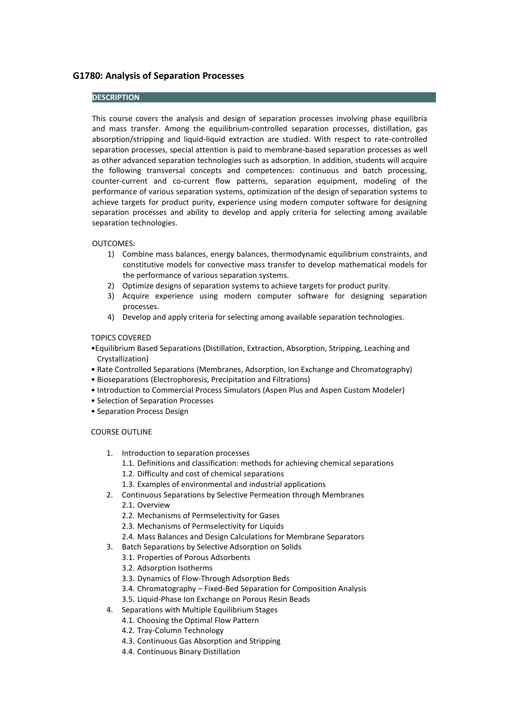# **G1780: Analysis of Separation Processes**

## **DESCRIPTION**

This course covers the analysis and design of separation processes involving phase equilibria and mass transfer. Among the equilibrium-controlled separation processes, distillation, gas absorption/stripping and liquid-liquid extraction are studied. With respect to rate-controlled separation processes, special attention is paid to membrane-based separation processes as well as other advanced separation technologies such as adsorption. In addition, students will acquire the following transversal concepts and competences: continuous and batch processing, counter-current and co-current flow patterns, separation equipment, modeling of the performance of various separation systems, optimization of the design of separation systems to achieve targets for product purity, experience using modern computer software for designing separation processes and ability to develop and apply criteria for selecting among available separation technologies.

### OUTCOMES:

- 1) Combine mass balances, energy balances, thermodynamic equilibrium constraints, and constitutive models for convective mass transfer to develop mathematical models for the performance of various separation systems.
- 2) Optimize designs of separation systems to achieve targets for product purity.
- 3) Acquire experience using modern computer software for designing separation processes.
- 4) Develop and apply criteria for selecting among available separation technologies.

#### TOPICS COVERED

- •Equilibrium Based Separations (Distillation, Extraction, Absorption, Stripping, Leaching and Crystallization)
- Rate Controlled Separations (Membranes, Adsorption, Ion Exchange and Chromatography)
- Bioseparations (Electrophoresis, Precipitation and Filtrations)
- Introduction to Commercial Process Simulators (Aspen Plus and Aspen Custom Modeler)
- Selection of Separation Processes
- Separation Process Design

### COURSE OUTLINE

- 1. Introduction to separation processes
	- 1.1. Definitions and classification: methods for achieving chemical separations
	- 1.2. Difficulty and cost of chemical separations
	- 1.3. Examples of environmental and industrial applications
- 2. Continuous Separations by Selective Permeation through Membranes
	- 2.1. Overview
		- 2.2. Mechanisms of Permselectivity for Gases
		- 2.3. Mechanisms of Permselectivity for Liquids
		- 2.4. Mass Balances and Design Calculations for Membrane Separators
- 3. Batch Separations by Selective Adsorption on Solids
	- 3.1. Properties of Porous Adsorbents
	- 3.2. Adsorption Isotherms
	- 3.3. Dynamics of Flow-Through Adsorption Beds
	- 3.4. Chromatography Fixed-Bed Separation for Composition Analysis
	- 3.5. Liquid-Phase Ion Exchange on Porous Resin Beads
- 4. Separations with Multiple Equilibrium Stages
	- 4.1. Choosing the Optimal Flow Pattern
	- 4.2. Tray-Column Technology
	- 4.3. Continuous Gas Absorption and Stripping
	- 4.4. Continuous Binary Distillation